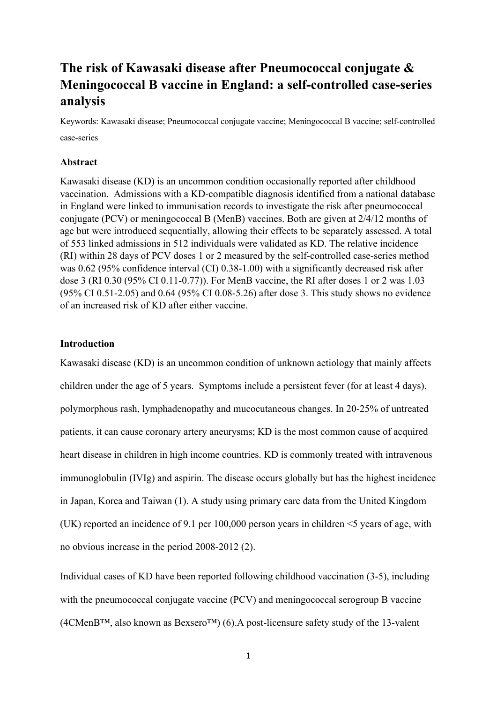# **The risk of Kawasaki disease after Pneumococcal conjugate & Meningococcal B vaccine in England: a self-controlled case-series analysis**

Keywords: Kawasaki disease; Pneumococcal conjugate vaccine; Meningococcal B vaccine; self-controlled case-series

## **Abstract**

Kawasaki disease (KD) is an uncommon condition occasionally reported after childhood vaccination. Admissions with a KD-compatible diagnosis identified from a national database in England were linked to immunisation records to investigate the risk after pneumococcal conjugate (PCV) or meningococcal B (MenB) vaccines. Both are given at 2/4/12 months of age but were introduced sequentially, allowing their effects to be separately assessed. A total of 553 linked admissions in 512 individuals were validated as KD. The relative incidence (RI) within 28 days of PCV doses 1 or 2 measured by the self-controlled case-series method was 0.62 (95% confidence interval (CI) 0.38-1.00) with a significantly decreased risk after dose 3 (RI 0.30 (95% CI 0.11-0.77)). For MenB vaccine, the RI after doses 1 or 2 was 1.03 (95% CI 0.51-2.05) and 0.64 (95% CI 0.08-5.26) after dose 3. This study shows no evidence of an increased risk of KD after either vaccine.

# **Introduction**

Kawasaki disease (KD) is an uncommon condition of unknown aetiology that mainly affects children under the age of 5 years. Symptoms include a persistent fever (for at least 4 days), polymorphous rash, lymphadenopathy and mucocutaneous changes. In 20-25% of untreated patients, it can cause coronary artery aneurysms; KD is the most common cause of acquired heart disease in children in high income countries. KD is commonly treated with intravenous immunoglobulin (IVIg) and aspirin. The disease occurs globally but has the highest incidence in Japan, Korea and Taiwan (1). A study using primary care data from the United Kingdom (UK) reported an incidence of 9.1 per 100,000 person years in children <5 years of age, with no obvious increase in the period 2008-2012 (2).

Individual cases of KD have been reported following childhood vaccination (3-5), including with the pneumococcal conjugate vaccine (PCV) and meningococcal serogroup B vaccine (4CMenB™, also known as Bexsero™) (6).A post-licensure safety study of the 13-valent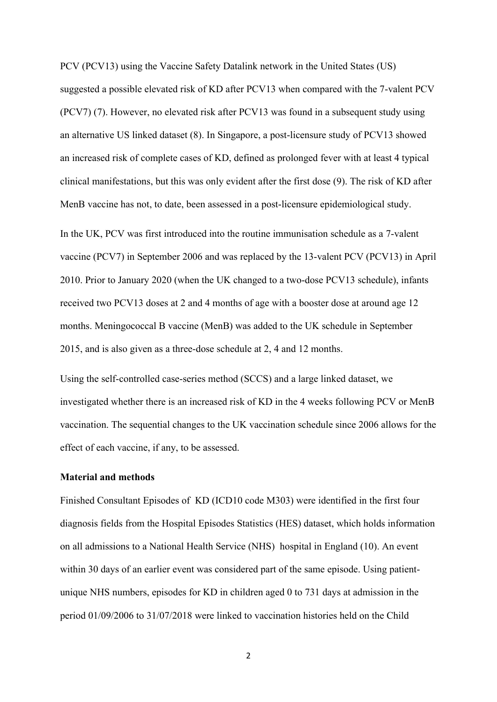PCV (PCV13) using the Vaccine Safety Datalink network in the United States (US) suggested a possible elevated risk of KD after PCV13 when compared with the 7-valent PCV (PCV7) (7). However, no elevated risk after PCV13 was found in a subsequent study using an alternative US linked dataset (8). In Singapore, a post-licensure study of PCV13 showed an increased risk of complete cases of KD, defined as prolonged fever with at least 4 typical clinical manifestations, but this was only evident after the first dose (9). The risk of KD after MenB vaccine has not, to date, been assessed in a post-licensure epidemiological study.

In the UK, PCV was first introduced into the routine immunisation schedule as a 7-valent vaccine (PCV7) in September 2006 and was replaced by the 13-valent PCV (PCV13) in April 2010. Prior to January 2020 (when the UK changed to a two-dose PCV13 schedule), infants received two PCV13 doses at 2 and 4 months of age with a booster dose at around age 12 months. Meningococcal B vaccine (MenB) was added to the UK schedule in September 2015, and is also given as a three-dose schedule at 2, 4 and 12 months.

Using the self-controlled case-series method (SCCS) and a large linked dataset, we investigated whether there is an increased risk of KD in the 4 weeks following PCV or MenB vaccination. The sequential changes to the UK vaccination schedule since 2006 allows for the effect of each vaccine, if any, to be assessed.

#### **Material and methods**

Finished Consultant Episodes of KD (ICD10 code M303) were identified in the first four diagnosis fields from the Hospital Episodes Statistics (HES) dataset, which holds information on all admissions to a National Health Service (NHS) hospital in England (10). An event within 30 days of an earlier event was considered part of the same episode. Using patientunique NHS numbers, episodes for KD in children aged 0 to 731 days at admission in the period 01/09/2006 to 31/07/2018 were linked to vaccination histories held on the Child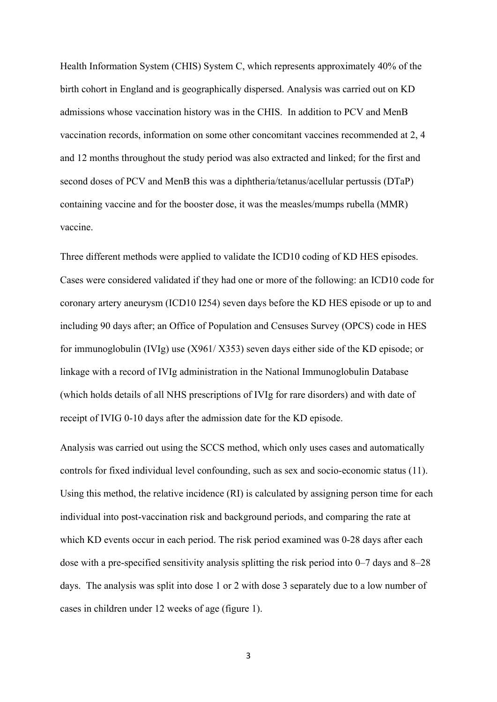Health Information System (CHIS) System C, which represents approximately 40% of the birth cohort in England and is geographically dispersed. Analysis was carried out on KD admissions whose vaccination history was in the CHIS. In addition to PCV and MenB vaccination records, information on some other concomitant vaccines recommended at 2, 4 and 12 months throughout the study period was also extracted and linked; for the first and second doses of PCV and MenB this was a diphtheria/tetanus/acellular pertussis (DTaP) containing vaccine and for the booster dose, it was the measles/mumps rubella (MMR) vaccine.

Three different methods were applied to validate the ICD10 coding of KD HES episodes. Cases were considered validated if they had one or more of the following: an ICD10 code for coronary artery aneurysm (ICD10 I254) seven days before the KD HES episode or up to and including 90 days after; an Office of Population and Censuses Survey (OPCS) code in HES for immunoglobulin (IVIg) use (X961/ X353) seven days either side of the KD episode; or linkage with a record of IVIg administration in the National Immunoglobulin Database (which holds details of all NHS prescriptions of IVIg for rare disorders) and with date of receipt of IVIG 0-10 days after the admission date for the KD episode.

Analysis was carried out using the SCCS method, which only uses cases and automatically controls for fixed individual level confounding, such as sex and socio-economic status (11). Using this method, the relative incidence (RI) is calculated by assigning person time for each individual into post-vaccination risk and background periods, and comparing the rate at which KD events occur in each period. The risk period examined was 0-28 days after each dose with a pre-specified sensitivity analysis splitting the risk period into 0–7 days and 8–28 days. The analysis was split into dose 1 or 2 with dose 3 separately due to a low number of cases in children under 12 weeks of age (figure 1).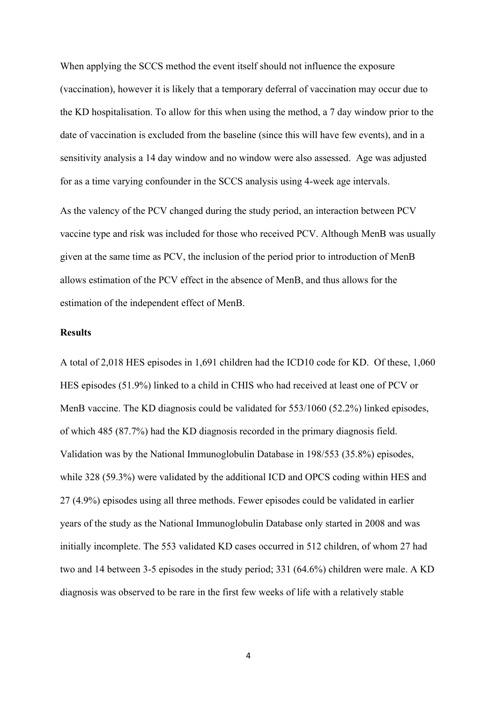When applying the SCCS method the event itself should not influence the exposure (vaccination), however it is likely that a temporary deferral of vaccination may occur due to the KD hospitalisation. To allow for this when using the method, a 7 day window prior to the date of vaccination is excluded from the baseline (since this will have few events), and in a sensitivity analysis a 14 day window and no window were also assessed. Age was adjusted for as a time varying confounder in the SCCS analysis using 4-week age intervals.

As the valency of the PCV changed during the study period, an interaction between PCV vaccine type and risk was included for those who received PCV. Although MenB was usually given at the same time as PCV, the inclusion of the period prior to introduction of MenB allows estimation of the PCV effect in the absence of MenB, and thus allows for the estimation of the independent effect of MenB.

#### **Results**

A total of 2,018 HES episodes in 1,691 children had the ICD10 code for KD. Of these, 1,060 HES episodes (51.9%) linked to a child in CHIS who had received at least one of PCV or MenB vaccine. The KD diagnosis could be validated for 553/1060 (52.2%) linked episodes, of which 485 (87.7%) had the KD diagnosis recorded in the primary diagnosis field. Validation was by the National Immunoglobulin Database in 198/553 (35.8%) episodes, while 328 (59.3%) were validated by the additional ICD and OPCS coding within HES and 27 (4.9%) episodes using all three methods. Fewer episodes could be validated in earlier years of the study as the National Immunoglobulin Database only started in 2008 and was initially incomplete. The 553 validated KD cases occurred in 512 children, of whom 27 had two and 14 between 3-5 episodes in the study period; 331 (64.6%) children were male. A KD diagnosis was observed to be rare in the first few weeks of life with a relatively stable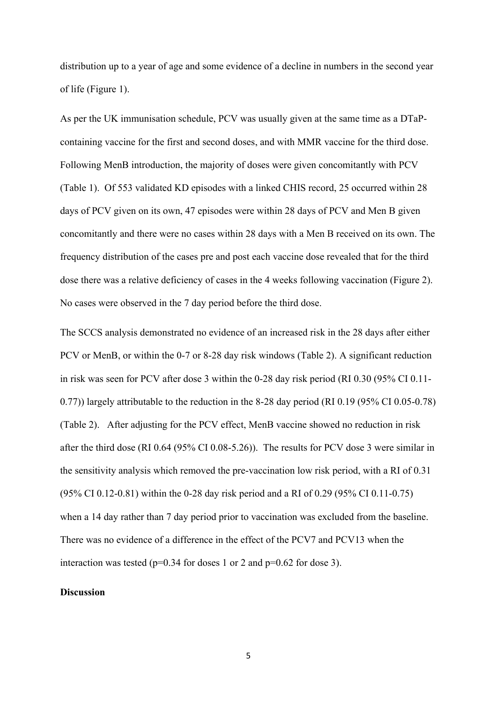distribution up to a year of age and some evidence of a decline in numbers in the second year of life (Figure 1).

As per the UK immunisation schedule, PCV was usually given at the same time as a DTaPcontaining vaccine for the first and second doses, and with MMR vaccine for the third dose. Following MenB introduction, the majority of doses were given concomitantly with PCV (Table 1). Of 553 validated KD episodes with a linked CHIS record, 25 occurred within 28 days of PCV given on its own, 47 episodes were within 28 days of PCV and Men B given concomitantly and there were no cases within 28 days with a Men B received on its own. The frequency distribution of the cases pre and post each vaccine dose revealed that for the third dose there was a relative deficiency of cases in the 4 weeks following vaccination (Figure 2). No cases were observed in the 7 day period before the third dose.

The SCCS analysis demonstrated no evidence of an increased risk in the 28 days after either PCV or MenB, or within the 0-7 or 8-28 day risk windows (Table 2). A significant reduction in risk was seen for PCV after dose 3 within the 0-28 day risk period (RI 0.30 (95% CI 0.11- 0.77)) largely attributable to the reduction in the 8-28 day period (RI 0.19 (95% CI 0.05-0.78) (Table 2). After adjusting for the PCV effect, MenB vaccine showed no reduction in risk after the third dose (RI 0.64 (95% CI 0.08-5.26)). The results for PCV dose 3 were similar in the sensitivity analysis which removed the pre-vaccination low risk period, with a RI of 0.31 (95% CI 0.12-0.81) within the 0-28 day risk period and a RI of 0.29 (95% CI 0.11-0.75) when a 14 day rather than 7 day period prior to vaccination was excluded from the baseline. There was no evidence of a difference in the effect of the PCV7 and PCV13 when the interaction was tested ( $p=0.34$  for doses 1 or 2 and  $p=0.62$  for dose 3).

## **Discussion**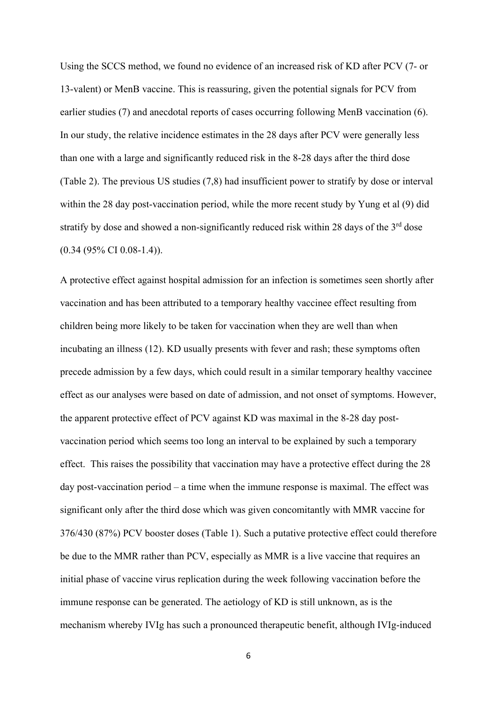Using the SCCS method, we found no evidence of an increased risk of KD after PCV (7- or 13-valent) or MenB vaccine. This is reassuring, given the potential signals for PCV from earlier studies (7) and anecdotal reports of cases occurring following MenB vaccination (6). In our study, the relative incidence estimates in the 28 days after PCV were generally less than one with a large and significantly reduced risk in the 8-28 days after the third dose (Table 2). The previous US studies (7,8) had insufficient power to stratify by dose or interval within the 28 day post-vaccination period, while the more recent study by Yung et al (9) did stratify by dose and showed a non-significantly reduced risk within 28 days of the 3<sup>rd</sup> dose (0.34 (95% CI 0.08-1.4)).

A protective effect against hospital admission for an infection is sometimes seen shortly after vaccination and has been attributed to a temporary healthy vaccinee effect resulting from children being more likely to be taken for vaccination when they are well than when incubating an illness (12). KD usually presents with fever and rash; these symptoms often precede admission by a few days, which could result in a similar temporary healthy vaccinee effect as our analyses were based on date of admission, and not onset of symptoms. However, the apparent protective effect of PCV against KD was maximal in the 8-28 day postvaccination period which seems too long an interval to be explained by such a temporary effect. This raises the possibility that vaccination may have a protective effect during the 28 day post-vaccination period – a time when the immune response is maximal. The effect was significant only after the third dose which was given concomitantly with MMR vaccine for 376/430 (87%) PCV booster doses (Table 1). Such a putative protective effect could therefore be due to the MMR rather than PCV, especially as MMR is a live vaccine that requires an initial phase of vaccine virus replication during the week following vaccination before the immune response can be generated. The aetiology of KD is still unknown, as is the mechanism whereby IVIg has such a pronounced therapeutic benefit, although IVIg-induced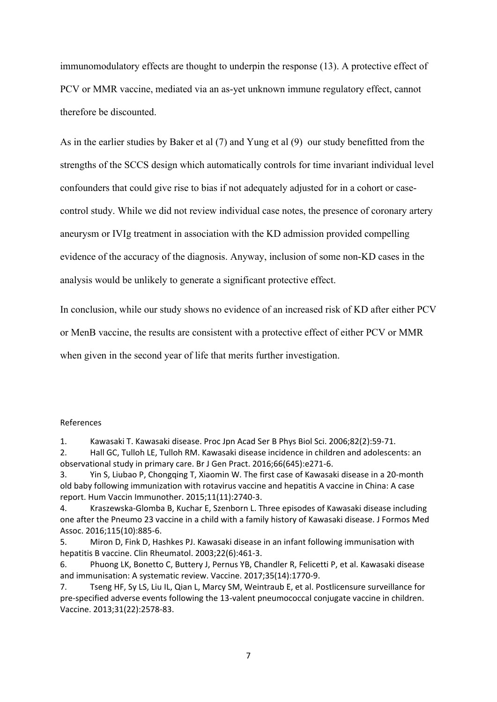immunomodulatory effects are thought to underpin the response (13). A protective effect of PCV or MMR vaccine, mediated via an as-yet unknown immune regulatory effect, cannot therefore be discounted.

As in the earlier studies by Baker et al (7) and Yung et al (9) our study benefitted from the strengths of the SCCS design which automatically controls for time invariant individual level confounders that could give rise to bias if not adequately adjusted for in a cohort or casecontrol study. While we did not review individual case notes, the presence of coronary artery aneurysm or IVIg treatment in association with the KD admission provided compelling evidence of the accuracy of the diagnosis. Anyway, inclusion of some non-KD cases in the analysis would be unlikely to generate a significant protective effect.

In conclusion, while our study shows no evidence of an increased risk of KD after either PCV or MenB vaccine, the results are consistent with a protective effect of either PCV or MMR when given in the second year of life that merits further investigation.

#### References

1. Kawasaki T. Kawasaki disease. Proc Jpn Acad Ser B Phys Biol Sci. 2006;82(2):59-71.

2. Hall GC, Tulloh LE, Tulloh RM. Kawasaki disease incidence in children and adolescents: an observational study in primary care. Br J Gen Pract. 2016;66(645):e271-6.

3. Yin S, Liubao P, Chongqing T, Xiaomin W. The first case of Kawasaki disease in a 20-month old baby following immunization with rotavirus vaccine and hepatitis A vaccine in China: A case report. Hum Vaccin Immunother. 2015;11(11):2740-3.

4. Kraszewska-Glomba B, Kuchar E, Szenborn L. Three episodes of Kawasaki disease including one after the Pneumo 23 vaccine in a child with a family history of Kawasaki disease. J Formos Med Assoc. 2016;115(10):885-6.

5. Miron D, Fink D, Hashkes PJ. Kawasaki disease in an infant following immunisation with hepatitis B vaccine. Clin Rheumatol. 2003;22(6):461-3.

6. Phuong LK, Bonetto C, Buttery J, Pernus YB, Chandler R, Felicetti P, et al. Kawasaki disease and immunisation: A systematic review. Vaccine. 2017;35(14):1770-9.

7. Tseng HF, Sy LS, Liu IL, Qian L, Marcy SM, Weintraub E, et al. Postlicensure surveillance for pre-specified adverse events following the 13-valent pneumococcal conjugate vaccine in children. Vaccine. 2013;31(22):2578-83.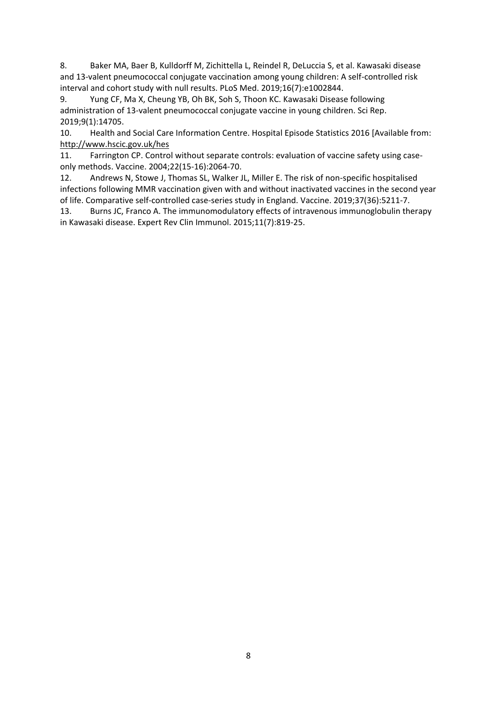8. Baker MA, Baer B, Kulldorff M, Zichittella L, Reindel R, DeLuccia S, et al. Kawasaki disease and 13-valent pneumococcal conjugate vaccination among young children: A self-controlled risk interval and cohort study with null results. PLoS Med. 2019;16(7):e1002844.

9. Yung CF, Ma X, Cheung YB, Oh BK, Soh S, Thoon KC. Kawasaki Disease following administration of 13-valent pneumococcal conjugate vaccine in young children. Sci Rep. 2019;9(1):14705.

10. Health and Social Care Information Centre. Hospital Episode Statistics 2016 [Available from: <http://www.hscic.gov.uk/hes>

11. Farrington CP. Control without separate controls: evaluation of vaccine safety using caseonly methods. Vaccine. 2004;22(15-16):2064-70.

12. Andrews N, Stowe J, Thomas SL, Walker JL, Miller E. The risk of non-specific hospitalised infections following MMR vaccination given with and without inactivated vaccines in the second year of life. Comparative self-controlled case-series study in England. Vaccine. 2019;37(36):5211-7.

13. Burns JC, Franco A. The immunomodulatory effects of intravenous immunoglobulin therapy in Kawasaki disease. Expert Rev Clin Immunol. 2015;11(7):819-25.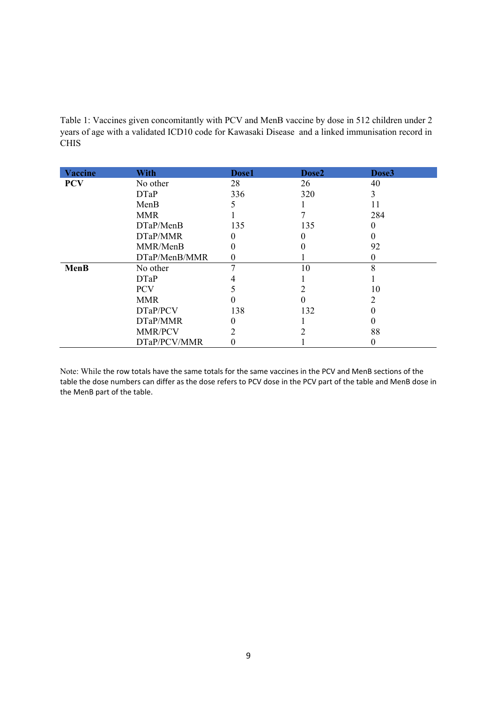Table 1: Vaccines given concomitantly with PCV and MenB vaccine by dose in 512 children under 2 years of age with a validated ICD10 code for Kawasaki Disease and a linked immunisation record in CHIS

| <b>Vaccine</b> | <b>With</b>    | Dose1     | Dose2 | Dose3 |
|----------------|----------------|-----------|-------|-------|
| <b>PCV</b>     | No other       | 28        | 26    | 40    |
|                | <b>DTaP</b>    | 336       | 320   | 3     |
|                | MenB           |           |       | 11    |
|                | <b>MMR</b>     |           |       | 284   |
|                | DTaP/MenB      | 135       | 135   | 0     |
|                | DTaP/MMR       | 0         |       |       |
|                | MMR/MenB       | 0         |       | 92    |
|                | DTaP/MenB/MMR  | $\pmb{0}$ |       | 0     |
| MenB           | No other       |           | 10    | 8     |
|                | <b>DTaP</b>    |           |       |       |
|                | <b>PCV</b>     |           |       | 10    |
|                | <b>MMR</b>     |           |       |       |
|                | DTaP/PCV       | 138       | 132   |       |
|                | DTaP/MMR       | 0         |       |       |
|                | <b>MMR/PCV</b> | 2         |       | 88    |
|                | DTaP/PCV/MMR   | 0         |       |       |

Note: While the row totals have the same totals for the same vaccines in the PCV and MenB sections of the table the dose numbers can differ as the dose refers to PCV dose in the PCV part of the table and MenB dose in the MenB part of the table.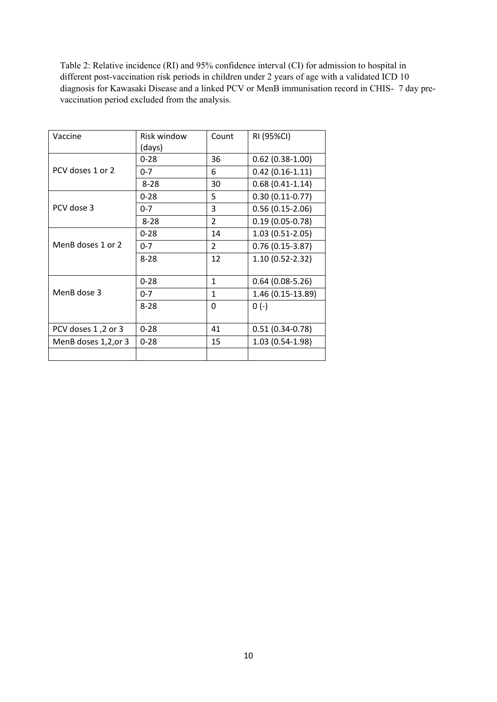Table 2: Relative incidence (RI) and 95% confidence interval (CI) for admission to hospital in different post-vaccination risk periods in children under 2 years of age with a validated ICD 10 diagnosis for Kawasaki Disease and a linked PCV or MenB immunisation record in CHIS- 7 day prevaccination period excluded from the analysis.

| Vaccine              | Risk window | Count          | RI (95%CI)          |
|----------------------|-------------|----------------|---------------------|
|                      | (days)      |                |                     |
|                      | $0 - 28$    | 36             | $0.62(0.38-1.00)$   |
| PCV doses 1 or 2     | $0 - 7$     | 6              | $0.42(0.16-1.11)$   |
|                      | $8 - 28$    | 30             | $0.68(0.41-1.14)$   |
|                      | $0 - 28$    | 5              | $0.30(0.11-0.77)$   |
| PCV dose 3           | $0 - 7$     | 3              | $0.56(0.15-2.06)$   |
|                      | $8 - 28$    | $\overline{2}$ | $0.19(0.05 - 0.78)$ |
|                      | $0 - 28$    | 14             | $1.03(0.51-2.05)$   |
| MenB doses 1 or 2    | $0 - 7$     | $\overline{2}$ | $0.76(0.15-3.87)$   |
|                      | $8 - 28$    | 12             | 1.10 (0.52-2.32)    |
|                      |             |                |                     |
|                      | $0 - 28$    | $\mathbf{1}$   | $0.64(0.08-5.26)$   |
| MenB dose 3          | $0 - 7$     | $\mathbf{1}$   | 1.46 (0.15-13.89)   |
|                      | $8 - 28$    | 0              | $0(-)$              |
|                      |             |                |                     |
| PCV doses 1,2 or 3   | $0 - 28$    | 41             | $0.51(0.34 - 0.78)$ |
| MenB doses 1,2, or 3 | $0 - 28$    | 15             | 1.03 (0.54-1.98)    |
|                      |             |                |                     |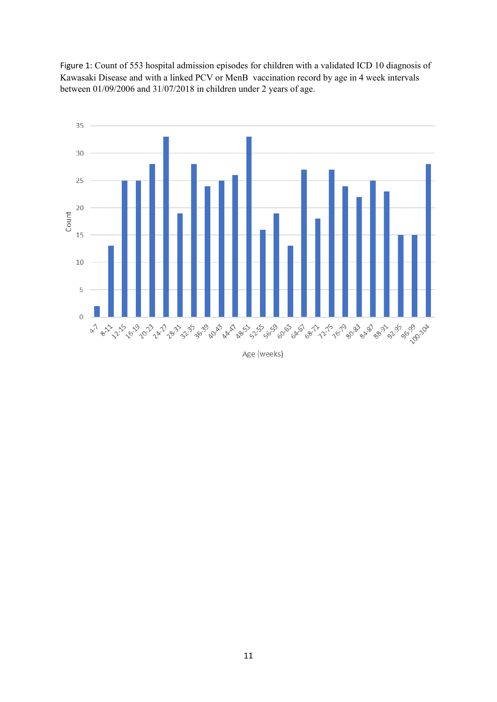Figure 1: Count of 553 hospital admission episodes for children with a validated ICD 10 diagnosis of Kawasaki Disease and with a linked PCV or MenB vaccination record by age in 4 week intervals between 01/09/2006 and 31/07/2018 in children under 2 years of age.



Age (weeks)